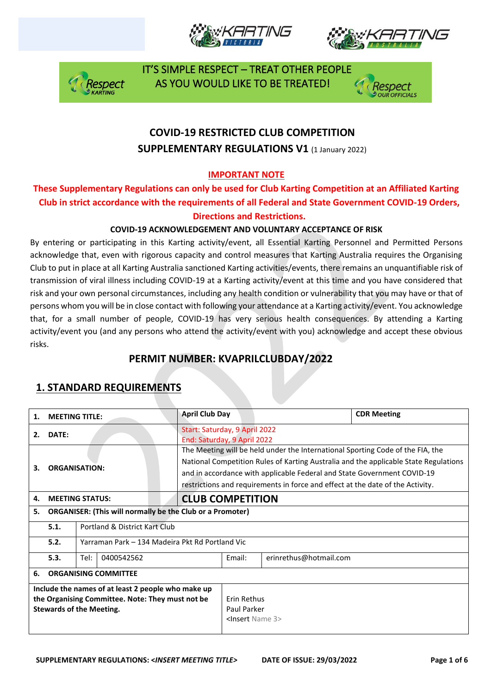







## **COVID-19 RESTRICTED CLUB COMPETITION SUPPLEMENTARY REGULATIONS V1 (1 January 2022)**

### **IMPORTANT NOTE**

### **These Supplementary Regulations can only be used for Club Karting Competition at an Affiliated Karting Club in strict accordance with the requirements of all Federal and State Government COVID-19 Orders, Directions and Restrictions.**

### **COVID-19 ACKNOWLEDGEMENT AND VOLUNTARY ACCEPTANCE OF RISK**

By entering or participating in this Karting activity/event, all Essential Karting Personnel and Permitted Persons acknowledge that, even with rigorous capacity and control measures that Karting Australia requires the Organising Club to put in place at all Karting Australia sanctioned Karting activities/events, there remains an unquantifiable risk of transmission of viral illness including COVID-19 at a Karting activity/event at this time and you have considered that risk and your own personal circumstances, including any health condition or vulnerability that you may have or that of persons whom you will be in close contact with following your attendance at a Karting activity/event. You acknowledge that, for a small number of people, COVID-19 has very serious health consequences. By attending a Karting activity/event you (and any persons who attend the activity/event with you) acknowledge and accept these obvious risks.

### **PERMIT NUMBER: KVAPRILCLUBDAY/2022**

| 1.                                                                                                                                        | <b>MEETING TITLE:</b>                                   |                        | <b>April Club Day</b>                                                                                                                                                                                                                                                                                                               |        |                        | <b>CDR Meeting</b> |
|-------------------------------------------------------------------------------------------------------------------------------------------|---------------------------------------------------------|------------------------|-------------------------------------------------------------------------------------------------------------------------------------------------------------------------------------------------------------------------------------------------------------------------------------------------------------------------------------|--------|------------------------|--------------------|
| 2.                                                                                                                                        | DATE:                                                   |                        | Start: Saturday, 9 April 2022<br>End: Saturday, 9 April 2022                                                                                                                                                                                                                                                                        |        |                        |                    |
| 3.                                                                                                                                        | <b>ORGANISATION:</b>                                    |                        | The Meeting will be held under the International Sporting Code of the FIA, the<br>National Competition Rules of Karting Australia and the applicable State Regulations<br>and in accordance with applicable Federal and State Government COVID-19<br>restrictions and requirements in force and effect at the date of the Activity. |        |                        |                    |
| 4.                                                                                                                                        |                                                         | <b>MEETING STATUS:</b> | <b>CLUB COMPETITION</b>                                                                                                                                                                                                                                                                                                             |        |                        |                    |
| <b>ORGANISER: (This will normally be the Club or a Promoter)</b><br>5.                                                                    |                                                         |                        |                                                                                                                                                                                                                                                                                                                                     |        |                        |                    |
|                                                                                                                                           | 5.1.<br>Portland & District Kart Club                   |                        |                                                                                                                                                                                                                                                                                                                                     |        |                        |                    |
|                                                                                                                                           | 5.2.<br>Yarraman Park – 134 Madeira Pkt Rd Portland Vic |                        |                                                                                                                                                                                                                                                                                                                                     |        |                        |                    |
|                                                                                                                                           | 5.3.                                                    | Tel:<br>0400542562     |                                                                                                                                                                                                                                                                                                                                     | Email: | erinrethus@hotmail.com |                    |
| 6.                                                                                                                                        | <b>ORGANISING COMMITTEE</b>                             |                        |                                                                                                                                                                                                                                                                                                                                     |        |                        |                    |
| Include the names of at least 2 people who make up<br>the Organising Committee. Note: They must not be<br><b>Stewards of the Meeting.</b> |                                                         |                        | Erin Rethus<br>Paul Parker<br><insert 3="" name=""></insert>                                                                                                                                                                                                                                                                        |        |                        |                    |

## **1. STANDARD REQUIREMENTS**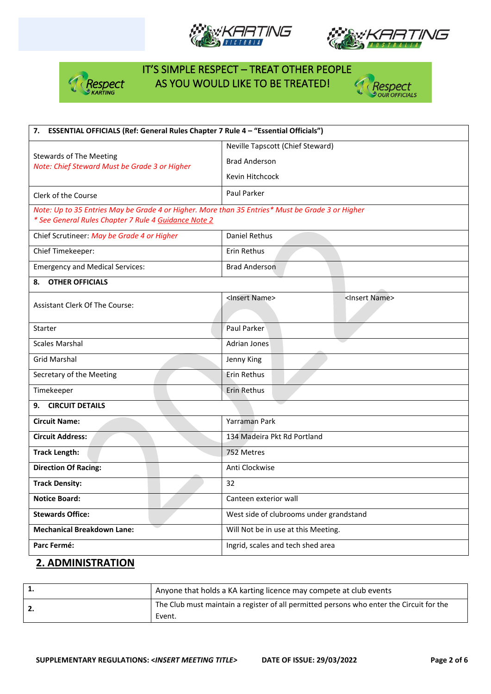







| ESSENTIAL OFFICIALS (Ref: General Rules Chapter 7 Rule 4 - "Essential Officials")<br>7.                                                                  |                                                         |  |  |  |
|----------------------------------------------------------------------------------------------------------------------------------------------------------|---------------------------------------------------------|--|--|--|
|                                                                                                                                                          | Neville Tapscott (Chief Steward)                        |  |  |  |
| <b>Stewards of The Meeting</b><br>Note: Chief Steward Must be Grade 3 or Higher                                                                          | <b>Brad Anderson</b>                                    |  |  |  |
|                                                                                                                                                          | Kevin Hitchcock                                         |  |  |  |
| Clerk of the Course                                                                                                                                      | Paul Parker                                             |  |  |  |
| Note: Up to 35 Entries May be Grade 4 or Higher. More than 35 Entries* Must be Grade 3 or Higher<br>* See General Rules Chapter 7 Rule 4 Guidance Note 2 |                                                         |  |  |  |
| Chief Scrutineer: May be Grade 4 or Higher                                                                                                               | Daniel Rethus                                           |  |  |  |
| Chief Timekeeper:                                                                                                                                        | Erin Rethus                                             |  |  |  |
| <b>Emergency and Medical Services:</b>                                                                                                                   | <b>Brad Anderson</b>                                    |  |  |  |
| <b>OTHER OFFICIALS</b><br>8.                                                                                                                             |                                                         |  |  |  |
| <b>Assistant Clerk Of The Course:</b>                                                                                                                    | <insert name=""><br/><insert name=""></insert></insert> |  |  |  |
|                                                                                                                                                          |                                                         |  |  |  |
| Starter                                                                                                                                                  | Paul Parker                                             |  |  |  |
| <b>Scales Marshal</b>                                                                                                                                    | Adrian Jones                                            |  |  |  |
| <b>Grid Marshal</b>                                                                                                                                      | Jenny King                                              |  |  |  |
| Secretary of the Meeting                                                                                                                                 | Erin Rethus                                             |  |  |  |
| Timekeeper                                                                                                                                               | Erin Rethus                                             |  |  |  |
| <b>CIRCUIT DETAILS</b><br>9.                                                                                                                             |                                                         |  |  |  |
| <b>Circuit Name:</b>                                                                                                                                     | Yarraman Park                                           |  |  |  |
| <b>Circuit Address:</b>                                                                                                                                  | 134 Madeira Pkt Rd Portland                             |  |  |  |
| <b>Track Length:</b>                                                                                                                                     | 752 Metres                                              |  |  |  |
| <b>Direction Of Racing:</b>                                                                                                                              | Anti Clockwise                                          |  |  |  |
| <b>Track Density:</b>                                                                                                                                    | 32                                                      |  |  |  |
| <b>Notice Board:</b>                                                                                                                                     | Canteen exterior wall                                   |  |  |  |
| <b>Stewards Office:</b>                                                                                                                                  | West side of clubrooms under grandstand                 |  |  |  |
| <b>Mechanical Breakdown Lane:</b>                                                                                                                        | Will Not be in use at this Meeting.                     |  |  |  |
| Parc Fermé:                                                                                                                                              | Ingrid, scales and tech shed area                       |  |  |  |

### **2. ADMINISTRATION**

| Anyone that holds a KA karting licence may compete at club events                        |
|------------------------------------------------------------------------------------------|
| The Club must maintain a register of all permitted persons who enter the Circuit for the |
| Event.                                                                                   |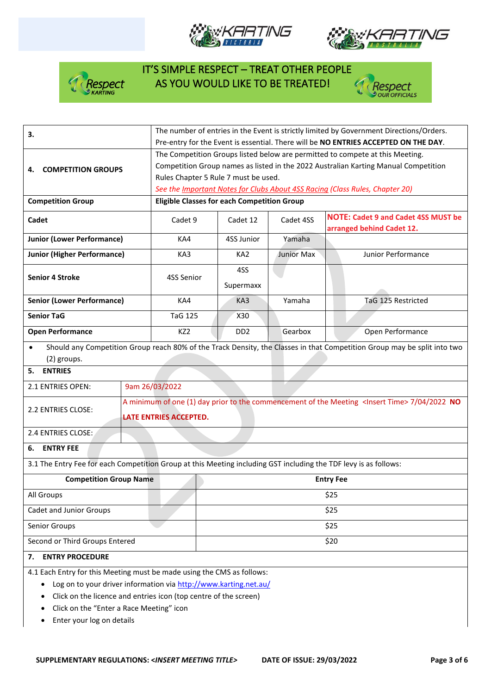







| 3.                                                                                                                                                                                                                                                                      | The number of entries in the Event is strictly limited by Government Directions/Orders.<br>Pre-entry for the Event is essential. There will be NO ENTRIES ACCEPTED ON THE DAY.                                                                                                               |                                                                                                                                            |                             |                                                                                                                          |                                                                         |  |
|-------------------------------------------------------------------------------------------------------------------------------------------------------------------------------------------------------------------------------------------------------------------------|----------------------------------------------------------------------------------------------------------------------------------------------------------------------------------------------------------------------------------------------------------------------------------------------|--------------------------------------------------------------------------------------------------------------------------------------------|-----------------------------|--------------------------------------------------------------------------------------------------------------------------|-------------------------------------------------------------------------|--|
| <b>COMPETITION GROUPS</b><br>4.                                                                                                                                                                                                                                         | The Competition Groups listed below are permitted to compete at this Meeting.<br>Competition Group names as listed in the 2022 Australian Karting Manual Competition<br>Rules Chapter 5 Rule 7 must be used.<br>See the Important Notes for Clubs About 4SS Racing (Class Rules, Chapter 20) |                                                                                                                                            |                             |                                                                                                                          |                                                                         |  |
| <b>Competition Group</b>                                                                                                                                                                                                                                                |                                                                                                                                                                                                                                                                                              |                                                                                                                                            |                             |                                                                                                                          |                                                                         |  |
|                                                                                                                                                                                                                                                                         |                                                                                                                                                                                                                                                                                              | <b>Eligible Classes for each Competition Group</b>                                                                                         |                             |                                                                                                                          |                                                                         |  |
| Cadet                                                                                                                                                                                                                                                                   |                                                                                                                                                                                                                                                                                              | Cadet 9                                                                                                                                    | Cadet 12                    | Cadet 4SS                                                                                                                | <b>NOTE: Cadet 9 and Cadet 4SS MUST be</b><br>arranged behind Cadet 12. |  |
| <b>Junior (Lower Performance)</b>                                                                                                                                                                                                                                       |                                                                                                                                                                                                                                                                                              | KA4                                                                                                                                        | 4SS Junior                  | Yamaha                                                                                                                   |                                                                         |  |
| <b>Junior (Higher Performance)</b>                                                                                                                                                                                                                                      |                                                                                                                                                                                                                                                                                              | KA3                                                                                                                                        | KA <sub>2</sub>             | Junior Max                                                                                                               | Junior Performance                                                      |  |
| <b>Senior 4 Stroke</b>                                                                                                                                                                                                                                                  |                                                                                                                                                                                                                                                                                              | 4SS Senior                                                                                                                                 | 4SS<br>Supermaxx            |                                                                                                                          |                                                                         |  |
| <b>Senior (Lower Performance)</b>                                                                                                                                                                                                                                       |                                                                                                                                                                                                                                                                                              | KA4                                                                                                                                        | KA3                         | Yamaha                                                                                                                   | TaG 125 Restricted                                                      |  |
| <b>Senior TaG</b>                                                                                                                                                                                                                                                       |                                                                                                                                                                                                                                                                                              | <b>TaG 125</b>                                                                                                                             | X30                         |                                                                                                                          |                                                                         |  |
| <b>Open Performance</b>                                                                                                                                                                                                                                                 |                                                                                                                                                                                                                                                                                              | KZ <sub>2</sub>                                                                                                                            | D <sub>D</sub> <sub>2</sub> | Gearbox                                                                                                                  | Open Performance                                                        |  |
| $\bullet$<br>(2) groups.                                                                                                                                                                                                                                                |                                                                                                                                                                                                                                                                                              |                                                                                                                                            |                             | Should any Competition Group reach 80% of the Track Density, the Classes in that Competition Group may be split into two |                                                                         |  |
| <b>ENTRIES</b><br>5.                                                                                                                                                                                                                                                    |                                                                                                                                                                                                                                                                                              |                                                                                                                                            |                             |                                                                                                                          |                                                                         |  |
| 2.1 ENTRIES OPEN:                                                                                                                                                                                                                                                       |                                                                                                                                                                                                                                                                                              | 9am 26/03/2022                                                                                                                             |                             |                                                                                                                          |                                                                         |  |
| 2.2 ENTRIES CLOSE:                                                                                                                                                                                                                                                      |                                                                                                                                                                                                                                                                                              | A minimum of one (1) day prior to the commencement of the Meeting <lnsert time=""> 7/04/2022 NO<br/><b>LATE ENTRIES ACCEPTED.</b></lnsert> |                             |                                                                                                                          |                                                                         |  |
| 2.4 ENTRIES CLOSE:                                                                                                                                                                                                                                                      |                                                                                                                                                                                                                                                                                              |                                                                                                                                            |                             |                                                                                                                          |                                                                         |  |
| <b>ENTRY FEE</b><br>6.                                                                                                                                                                                                                                                  |                                                                                                                                                                                                                                                                                              |                                                                                                                                            |                             |                                                                                                                          |                                                                         |  |
| 3.1 The Entry Fee for each Competition Group at this Meeting including GST including the TDF levy is as follows:                                                                                                                                                        |                                                                                                                                                                                                                                                                                              |                                                                                                                                            |                             |                                                                                                                          |                                                                         |  |
| <b>Competition Group Name</b>                                                                                                                                                                                                                                           |                                                                                                                                                                                                                                                                                              |                                                                                                                                            | <b>Entry Fee</b>            |                                                                                                                          |                                                                         |  |
| All Groups                                                                                                                                                                                                                                                              |                                                                                                                                                                                                                                                                                              | \$25                                                                                                                                       |                             |                                                                                                                          |                                                                         |  |
| Cadet and Junior Groups                                                                                                                                                                                                                                                 | \$25                                                                                                                                                                                                                                                                                         |                                                                                                                                            |                             |                                                                                                                          |                                                                         |  |
| Senior Groups                                                                                                                                                                                                                                                           |                                                                                                                                                                                                                                                                                              | \$25                                                                                                                                       |                             |                                                                                                                          |                                                                         |  |
| Second or Third Groups Entered                                                                                                                                                                                                                                          |                                                                                                                                                                                                                                                                                              | \$20                                                                                                                                       |                             |                                                                                                                          |                                                                         |  |
| <b>ENTRY PROCEDURE</b><br>7.                                                                                                                                                                                                                                            |                                                                                                                                                                                                                                                                                              |                                                                                                                                            |                             |                                                                                                                          |                                                                         |  |
| 4.1 Each Entry for this Meeting must be made using the CMS as follows:<br>Log on to your driver information via http://www.karting.net.au/<br>$\bullet$<br>Click on the licence and entries icon (top centre of the screen)<br>Click on the "Enter a Race Meeting" icon |                                                                                                                                                                                                                                                                                              |                                                                                                                                            |                             |                                                                                                                          |                                                                         |  |

- Click on the "Enter a Race Meeting" icon
- Enter your log on details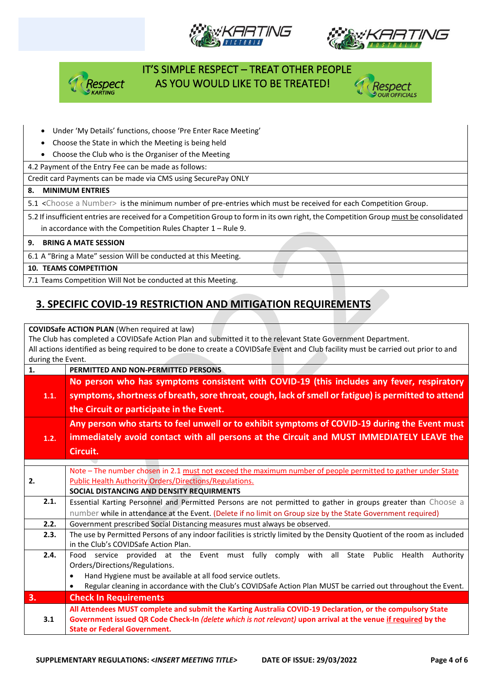







#### • Under 'My Details' functions, choose 'Pre Enter Race Meeting'

- Choose the State in which the Meeting is being held
- Choose the Club who is the Organiser of the Meeting

4.2 Payment of the Entry Fee can be made as follows:

Credit card Payments can be made via CMS using SecurePay ONLY

#### **8. MINIMUM ENTRIES**

5.1 <Choose a Number> is the minimum number of pre-entries which must be received for each Competition Group.

5.2 If insufficient entries are received for a Competition Group to form in its own right, the Competition Group must be consolidated in accordance with the Competition Rules Chapter 1 – Rule 9.

#### **9. BRING A MATE SESSION**

6.1 A "Bring a Mate" session Will be conducted at this Meeting.

#### **10. TEAMS COMPETITION**

7.1 Teams Competition Will Not be conducted at this Meeting.

### **3. SPECIFIC COVID-19 RESTRICTION AND MITIGATION REQUIREMENTS**

#### **COVIDSafe ACTION PLAN** (When required at law)

The Club has completed a COVIDSafe Action Plan and submitted it to the relevant State Government Department. All actions identified as being required to be done to create a COVIDSafe Event and Club facility must be carried out prior to and during the Event.

| 1.   | PERMITTED AND NON-PERMITTED PERSONS                                                                                                                                                              |
|------|--------------------------------------------------------------------------------------------------------------------------------------------------------------------------------------------------|
| 1.1. | No person who has symptoms consistent with COVID-19 (this includes any fever, respiratory<br>symptoms, shortness of breath, sore throat, cough, lack of smell or fatigue) is permitted to attend |
|      | the Circuit or participate in the Event.                                                                                                                                                         |
|      | Any person who starts to feel unwell or to exhibit symptoms of COVID-19 during the Event must                                                                                                    |
| 1.2. | immediately avoid contact with all persons at the Circuit and MUST IMMEDIATELY LEAVE the                                                                                                         |
|      | Circuit.                                                                                                                                                                                         |
|      |                                                                                                                                                                                                  |
|      | Note - The number chosen in 2.1 must not exceed the maximum number of people permitted to gather under State                                                                                     |
| 2.   | <b>Public Health Authority Orders/Directions/Regulations.</b>                                                                                                                                    |
|      | SOCIAL DISTANCING AND DENSITY REQUIRMENTS                                                                                                                                                        |
| 2.1. | Essential Karting Personnel and Permitted Persons are not permitted to gather in groups greater than Choose a                                                                                    |
|      | number while in attendance at the Event. (Delete if no limit on Group size by the State Government required)                                                                                     |
| 2.2. | Government prescribed Social Distancing measures must always be observed.                                                                                                                        |
| 2.3. | The use by Permitted Persons of any indoor facilities is strictly limited by the Density Quotient of the room as included<br>in the Club's COVIDSafe Action Plan.                                |
| 2.4. | service provided at the Event must fully comply with all State Public Health<br>Authority<br>Food                                                                                                |
|      | Orders/Directions/Regulations.                                                                                                                                                                   |
|      | Hand Hygiene must be available at all food service outlets.<br>$\bullet$                                                                                                                         |
|      | Regular cleaning in accordance with the Club's COVIDSafe Action Plan MUST be carried out throughout the Event.                                                                                   |
| 3.   | <b>Check In Requirements</b>                                                                                                                                                                     |
|      | All Attendees MUST complete and submit the Karting Australia COVID-19 Declaration, or the compulsory State                                                                                       |
| 3.1  | Government issued QR Code Check-In (delete which is not relevant) upon arrival at the venue if required by the                                                                                   |
|      | <b>State or Federal Government.</b>                                                                                                                                                              |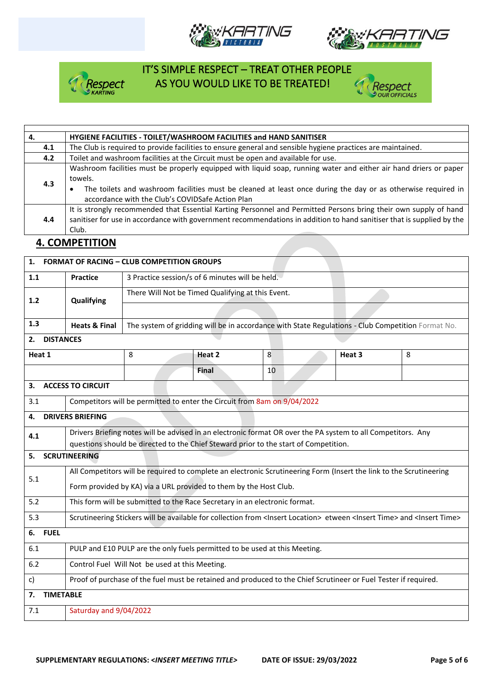







| 4.  | HYGIENE FACILITIES - TOILET/WASHROOM FACILITIES and HAND SANITISER                                                                                                                                                                                                                               |  |  |  |  |
|-----|--------------------------------------------------------------------------------------------------------------------------------------------------------------------------------------------------------------------------------------------------------------------------------------------------|--|--|--|--|
| 4.1 | The Club is required to provide facilities to ensure general and sensible hygiene practices are maintained.                                                                                                                                                                                      |  |  |  |  |
| 4.2 | Toilet and washroom facilities at the Circuit must be open and available for use.                                                                                                                                                                                                                |  |  |  |  |
| 4.3 | Washroom facilities must be properly equipped with liquid soap, running water and either air hand driers or paper<br>towels.<br>The toilets and washroom facilities must be cleaned at least once during the day or as otherwise required in<br>accordance with the Club's COVIDSafe Action Plan |  |  |  |  |
| 4.4 | It is strongly recommended that Essential Karting Personnel and Permitted Persons bring their own supply of hand<br>sanitiser for use in accordance with government recommendations in addition to hand sanitiser that is supplied by the<br>Club.                                               |  |  |  |  |
|     |                                                                                                                                                                                                                                                                                                  |  |  |  |  |

## **4. COMPETITION**

|                                                                                                                     |                                                                                                                     | 1. FORMAT OF RACING - CLUB COMPETITION GROUPS                                                                                                             |                                                                          |        |                                                                                                   |        |   |  |
|---------------------------------------------------------------------------------------------------------------------|---------------------------------------------------------------------------------------------------------------------|-----------------------------------------------------------------------------------------------------------------------------------------------------------|--------------------------------------------------------------------------|--------|---------------------------------------------------------------------------------------------------|--------|---|--|
| 1.1                                                                                                                 |                                                                                                                     | <b>Practice</b>                                                                                                                                           | 3 Practice session/s of 6 minutes will be held.                          |        |                                                                                                   |        |   |  |
| $1.2$                                                                                                               |                                                                                                                     | Qualifying                                                                                                                                                | There Will Not be Timed Qualifying at this Event.                        |        |                                                                                                   |        |   |  |
|                                                                                                                     |                                                                                                                     |                                                                                                                                                           |                                                                          |        |                                                                                                   |        |   |  |
| 1.3                                                                                                                 |                                                                                                                     | <b>Heats &amp; Final</b>                                                                                                                                  |                                                                          |        | The system of gridding will be in accordance with State Regulations - Club Competition Format No. |        |   |  |
|                                                                                                                     | 2. DISTANCES                                                                                                        |                                                                                                                                                           |                                                                          |        |                                                                                                   |        |   |  |
| Heat 1                                                                                                              |                                                                                                                     |                                                                                                                                                           | 8                                                                        | Heat 2 | 8                                                                                                 | Heat 3 | 8 |  |
|                                                                                                                     |                                                                                                                     |                                                                                                                                                           |                                                                          | Final  | 10                                                                                                |        |   |  |
|                                                                                                                     |                                                                                                                     | 3. ACCESS TO CIRCUIT                                                                                                                                      |                                                                          |        |                                                                                                   |        |   |  |
| 3.1                                                                                                                 |                                                                                                                     |                                                                                                                                                           | Competitors will be permitted to enter the Circuit from 8am on 9/04/2022 |        |                                                                                                   |        |   |  |
| 4.                                                                                                                  |                                                                                                                     | <b>DRIVERS BRIEFING</b>                                                                                                                                   |                                                                          |        |                                                                                                   |        |   |  |
| Drivers Briefing notes will be advised in an electronic format OR over the PA system to all Competitors. Any<br>4.1 |                                                                                                                     |                                                                                                                                                           |                                                                          |        |                                                                                                   |        |   |  |
| 5.                                                                                                                  |                                                                                                                     | questions should be directed to the Chief Steward prior to the start of Competition.<br><b>SCRUTINEERING</b>                                              |                                                                          |        |                                                                                                   |        |   |  |
|                                                                                                                     | All Competitors will be required to complete an electronic Scrutineering Form (Insert the link to the Scrutineering |                                                                                                                                                           |                                                                          |        |                                                                                                   |        |   |  |
| 5.1                                                                                                                 |                                                                                                                     | Form provided by KA) via a URL provided to them by the Host Club.                                                                                         |                                                                          |        |                                                                                                   |        |   |  |
| 5.2                                                                                                                 |                                                                                                                     | This form will be submitted to the Race Secretary in an electronic format.                                                                                |                                                                          |        |                                                                                                   |        |   |  |
| 5.3                                                                                                                 |                                                                                                                     | Scrutineering Stickers will be available for collection from <lnsert location=""> etween <lnsert time=""> and <lnsert time=""></lnsert></lnsert></lnsert> |                                                                          |        |                                                                                                   |        |   |  |
|                                                                                                                     | 6. FUEL                                                                                                             |                                                                                                                                                           |                                                                          |        |                                                                                                   |        |   |  |
| 6.1                                                                                                                 |                                                                                                                     | PULP and E10 PULP are the only fuels permitted to be used at this Meeting.                                                                                |                                                                          |        |                                                                                                   |        |   |  |
| 6.2                                                                                                                 |                                                                                                                     | Control Fuel Will Not be used at this Meeting.                                                                                                            |                                                                          |        |                                                                                                   |        |   |  |
| $\mathsf{c}$                                                                                                        |                                                                                                                     | Proof of purchase of the fuel must be retained and produced to the Chief Scrutineer or Fuel Tester if required.                                           |                                                                          |        |                                                                                                   |        |   |  |
| 7.                                                                                                                  | <b>TIMETABLE</b>                                                                                                    |                                                                                                                                                           |                                                                          |        |                                                                                                   |        |   |  |
| 7.1                                                                                                                 |                                                                                                                     | Saturday and 9/04/2022                                                                                                                                    |                                                                          |        |                                                                                                   |        |   |  |